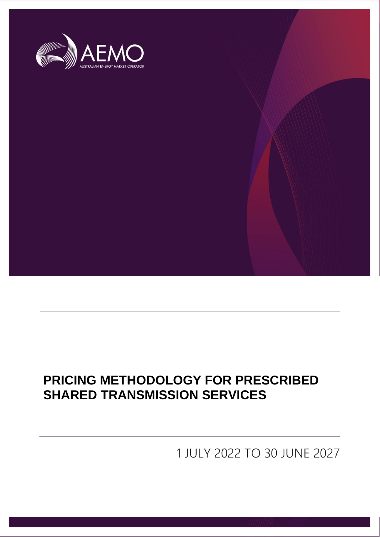

# **PRICING METHODOLOGY FOR PRESCRIBED SHARED TRANSMISSION SERVICES**

1 JULY 2022 TO 30 JUNE 2027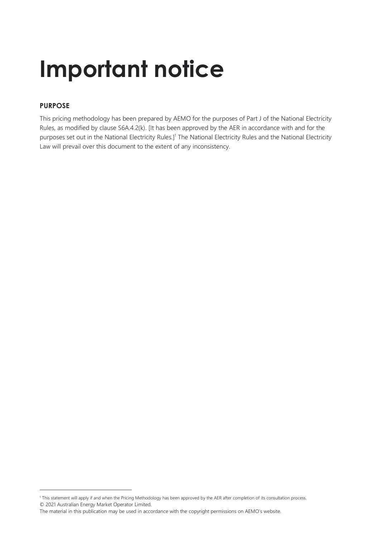# **Important notice**

### **PURPOSE**

This pricing methodology has been prepared by AEMO for the purposes of Part J of the National Electricity Rules, as modified by clause S6A.4.2(k). [It has been approved by the AER in accordance with and for the purposes set out in the National Electricity Rules.]<sup>1</sup> The National Electricity Rules and the National Electricity Law will prevail over this document to the extent of any inconsistency.

<sup>© 2021</sup> Australian Energy Market Operator Limited. <sup>1</sup> This statement will apply if and when the Pricing Methodology has been approved by the AER after completion of its consultation process.

The material in this publication may be used in accordance with the [copyright permissions on AEMO's website](http://aemo.com.au/Privacy_and_Legal_Notices/Copyright_Permissions_Notice).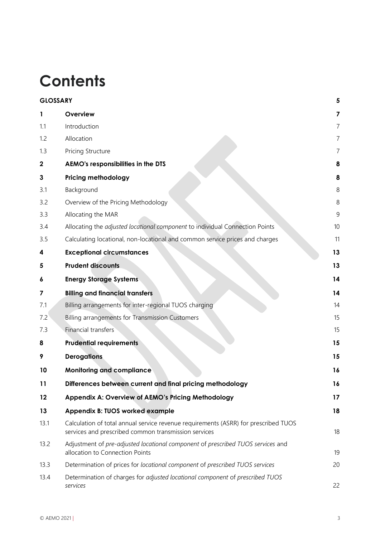# **Contents**

| <b>GLOSSARY</b> |                                                                                                                                             | 5              |
|-----------------|---------------------------------------------------------------------------------------------------------------------------------------------|----------------|
| 1               | Overview                                                                                                                                    | 7              |
| 1.1             | Introduction                                                                                                                                | $\overline{7}$ |
| 1.2             | Allocation                                                                                                                                  | 7              |
| 1.3             | Pricing Structure                                                                                                                           | 7              |
| $\mathbf 2$     | AEMO's responsibilities in the DTS                                                                                                          | 8              |
| 3               | <b>Pricing methodology</b>                                                                                                                  | 8              |
| 3.1             | Background                                                                                                                                  | 8              |
| 3.2             | Overview of the Pricing Methodology                                                                                                         | 8              |
| 3.3             | Allocating the MAR                                                                                                                          | 9              |
| 3.4             | Allocating the adjusted locational component to individual Connection Points                                                                | 10             |
| 3.5             | Calculating locational, non-locational and common service prices and charges                                                                | 11             |
| 4               | <b>Exceptional circumstances</b>                                                                                                            | 13             |
| 5               | <b>Prudent discounts</b>                                                                                                                    | 13             |
| 6               | <b>Energy Storage Systems</b>                                                                                                               | 14             |
| 7               | <b>Billing and financial transfers</b>                                                                                                      | 14             |
| 7.1             | Billing arrangements for inter-regional TUOS charging                                                                                       | 14             |
| 7.2             | Billing arrangements for Transmission Customers                                                                                             | 15             |
| 7.3             | Financial transfers                                                                                                                         | 15             |
| 8               | <b>Prudential requirements</b>                                                                                                              | 15             |
| 9               | <b>Derogations</b>                                                                                                                          | 15             |
| 10              | <b>Monitoring and compliance</b>                                                                                                            | 16             |
| 11              | Differences between current and final pricing methodology                                                                                   | 16             |
| 12              | Appendix A: Overview of AEMO's Pricing Methodology                                                                                          | 17             |
| 13              | Appendix B: TUOS worked example                                                                                                             | 18             |
| 13.1            | Calculation of total annual service revenue requirements (ASRR) for prescribed TUOS<br>services and prescribed common transmission services | 18             |
| 13.2            | Adjustment of pre-adjusted locational component of prescribed TUOS services and<br>allocation to Connection Points                          | 19             |
| 13.3            | Determination of prices for locational component of prescribed TUOS services                                                                | 20             |
| 13.4            | Determination of charges for adjusted locational component of prescribed TUOS<br>services                                                   | 22             |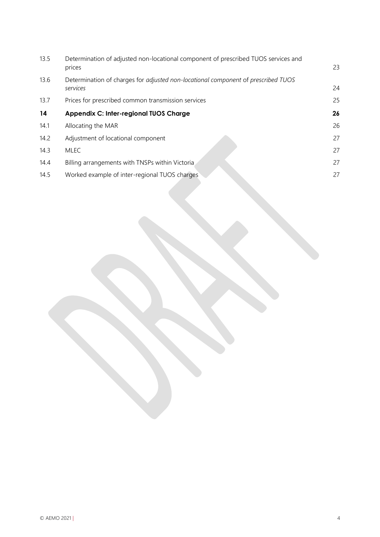| 13.5 | Determination of adjusted non-locational component of prescribed TUOS services and<br>prices  | 23 |
|------|-----------------------------------------------------------------------------------------------|----|
| 13.6 | Determination of charges for adjusted non-locational component of prescribed TUOS<br>services | 24 |
| 13.7 | Prices for prescribed common transmission services                                            | 25 |
| 14   | <b>Appendix C: Inter-regional TUOS Charge</b>                                                 | 26 |
| 14.1 | Allocating the MAR                                                                            | 26 |
| 14.2 | Adjustment of locational component                                                            | 27 |
| 14.3 | <b>MLEC</b>                                                                                   | 27 |
| 14.4 | Billing arrangements with TNSPs within Victoria                                               | 27 |
| 14.5 | Worked example of inter-regional TUOS charges                                                 | 27 |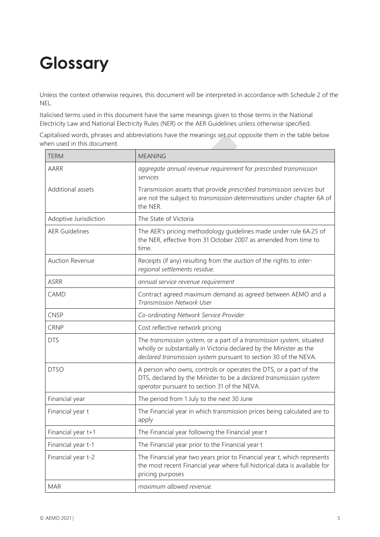# <span id="page-4-0"></span>**Glossary**

Unless the context otherwise requires, this document will be interpreted in accordance with Schedule 2 of the NEL.

Italicised terms used in this document have the same meanings given to those terms in the National Electricity Law and National Electricity Rules (NER) or the AER Guidelines unless otherwise specified.

Capitalised words, phrases and abbreviations have the meanings set out opposite them in the table below when used in this document.

| <b>TERM</b>            | <b>MEANING</b>                                                                                                                                                                                                   |
|------------------------|------------------------------------------------------------------------------------------------------------------------------------------------------------------------------------------------------------------|
| AARR                   | aggregate annual revenue requirement for prescribed transmission<br>services                                                                                                                                     |
| Additional assets      | Transmission assets that provide prescribed transmission services but<br>are not the subject to transmission determinations under chapter 6A of<br>the NER.                                                      |
| Adoptive Jurisdiction  | The State of Victoria                                                                                                                                                                                            |
| <b>AER Guidelines</b>  | The AER's pricing methodology guidelines made under rule 6A.25 of<br>the NER, effective from 31 October 2007 as amended from time to<br>time.                                                                    |
| <b>Auction Revenue</b> | Receipts (if any) resulting from the <i>auction</i> of the rights to <i>inter-</i><br>regional settlements residue.                                                                                              |
| <b>ASRR</b>            | annual service revenue requirement                                                                                                                                                                               |
| CAMD                   | Contract agreed maximum demand as agreed between AEMO and a<br><b>Transmission Network User</b>                                                                                                                  |
| <b>CNSP</b>            | Co-ordinating Network Service Provider                                                                                                                                                                           |
| <b>CRNP</b>            | Cost reflective network pricing                                                                                                                                                                                  |
| <b>DTS</b>             | The transmission system, or a part of a transmission system, situated<br>wholly or substantially in Victoria declared by the Minister as the<br>declared transmission system pursuant to section 30 of the NEVA. |
| <b>DTSO</b>            | A person who owns, controls or operates the DTS, or a part of the<br>DTS, declared by the Minister to be a declared transmission system<br>operator pursuant to section 31 of the NEVA.                          |
| Financial year         | The period from 1 July to the next 30 June                                                                                                                                                                       |
| Financial year t       | The Financial year in which transmission prices being calculated are to<br>apply                                                                                                                                 |
| Financial year t+1     | The Financial year following the Financial year t                                                                                                                                                                |
| Financial year t-1     | The Financial year prior to the Financial year t                                                                                                                                                                 |
| Financial year t-2     | The Financial year two years prior to Financial year t, which represents<br>the most recent Financial year where full historical data is available for<br>pricing purposes                                       |
| <b>MAR</b>             | maximum allowed revenue.                                                                                                                                                                                         |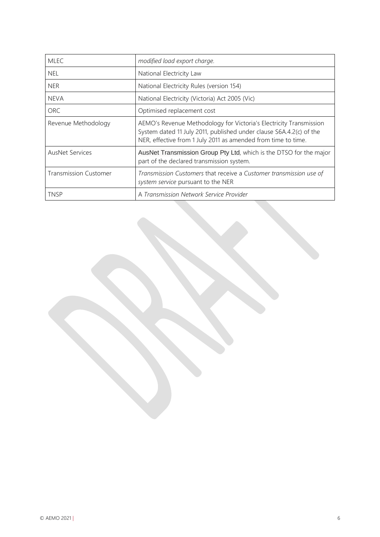| <b>MLEC</b>                  | modified load export charge.                                                                                                                                                                               |  |  |
|------------------------------|------------------------------------------------------------------------------------------------------------------------------------------------------------------------------------------------------------|--|--|
| <b>NEL</b>                   | National Electricity Law                                                                                                                                                                                   |  |  |
| <b>NER</b>                   | National Electricity Rules (version 154)                                                                                                                                                                   |  |  |
| <b>NEVA</b>                  | National Electricity (Victoria) Act 2005 (Vic)                                                                                                                                                             |  |  |
| <b>ORC</b>                   | Optimised replacement cost                                                                                                                                                                                 |  |  |
| Revenue Methodology          | AEMO's Revenue Methodology for Victoria's Electricity Transmission<br>System dated 11 July 2011, published under clause S6A.4.2(c) of the<br>NER, effective from 1 July 2011 as amended from time to time. |  |  |
| <b>AusNet Services</b>       | AusNet Transmission Group Pty Ltd, which is the DTSO for the major<br>part of the declared transmission system.                                                                                            |  |  |
| <b>Transmission Customer</b> | Transmission Customers that receive a Customer transmission use of<br>system service pursuant to the NER                                                                                                   |  |  |
| <b>TNSP</b>                  | A Transmission Network Service Provider                                                                                                                                                                    |  |  |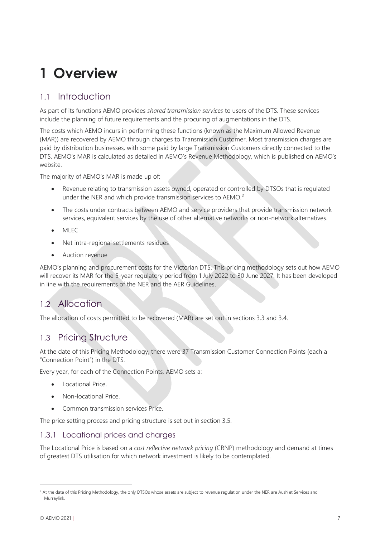# <span id="page-6-0"></span>**1 Overview**

## <span id="page-6-1"></span>1.1 Introduction

As part of its functions AEMO provides *shared transmission services* to users of the DTS. These services include the planning of future requirements and the procuring of augmentations in the DTS.

The costs which AEMO incurs in performing these functions (known as the Maximum Allowed Revenue (MAR)) are recovered by AEMO through charges to Transmission Customer. Most transmission charges are paid by distribution businesses, with some paid by large Transmission Customers directly connected to the DTS. AEMO's MAR is calculated as detailed in AEMO's Revenue Methodology, which is published on AEMO's website.

The majority of AEMO's MAR is made up of:

- Revenue relating to transmission assets owned, operated or controlled by DTSOs that is regulated under the NER and which provide transmission services to AEMO.<sup>2</sup>
- The costs under contracts between AEMO and service providers that provide transmission network services, equivalent services by the use of other alternative networks or non-network alternatives.
- MLEC
- Net intra-regional settlements residues
- Auction revenue

AEMO's planning and procurement costs for the Victorian DTS. This pricing methodology sets out how AEMO will recover its MAR for the 5-year regulatory period from 1 July 2022 to 30 June 2027. It has been developed in line with the requirements of the NER and the AER Guidelines.

# <span id="page-6-2"></span>1.2 Allocation

The allocation of costs permitted to be recovered (MAR) are set out in sections 3.3 and 3.4.

### <span id="page-6-3"></span>1.3 Pricing Structure

At the date of this Pricing Methodology, there were 37 Transmission Customer Connection Points (each a "Connection Point") in the DTS.

Every year, for each of the Connection Points, AEMO sets a:

- Locational Price.
- Non-locational Price.
- Common transmission services Price.

The price setting process and pricing structure is set out in section 3.5.

#### 1.3.1 Locational prices and charges

The Locational Price is based on a *cost reflective network pricing* (CRNP) methodology and demand at times of greatest DTS utilisation for which network investment is likely to be contemplated.

<sup>&</sup>lt;sup>2</sup> At the date of this Pricing Methodology, the only DTSOs whose assets are subject to revenue regulation under the NER are AusNet Services and Murraylink.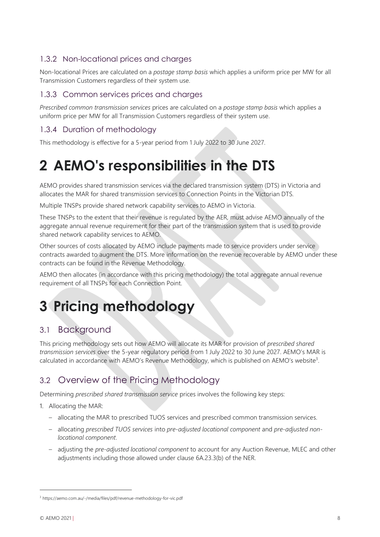### 1.3.2 Non-locational prices and charges

Non-locational Prices are calculated on a *postage stamp basis* which applies a uniform price per MW for all Transmission Customers regardless of their system use.

#### 1.3.3 Common services prices and charges

*Prescribed common transmission services* prices are calculated on a *postage stamp basis* which applies a uniform price per MW for all Transmission Customers regardless of their system use.

### 1.3.4 Duration of methodology

This methodology is effective for a 5-year period from 1 July 2022 to 30 June 2027.

# <span id="page-7-0"></span>**2 AEMO's responsibilities in the DTS**

AEMO provides shared transmission services via the declared transmission system (DTS) in Victoria and allocates the MAR for shared transmission services to Connection Points in the Victorian DTS.

Multiple TNSPs provide shared network capability services to AEMO in Victoria.

These TNSPs to the extent that their revenue is regulated by the AER, must advise AEMO annually of the aggregate annual revenue requirement for their part of the transmission system that is used to provide shared network capability services to AEMO.

Other sources of costs allocated by AEMO include payments made to service providers under service contracts awarded to augment the DTS. More information on the revenue recoverable by AEMO under these contracts can be found in the Revenue Methodology.

AEMO then allocates (in accordance with this pricing methodology) the total aggregate annual revenue requirement of all TNSPs for each Connection Point.

# <span id="page-7-1"></span>**3 Pricing methodology**

### <span id="page-7-2"></span>3.1 Background

This pricing methodology sets out how AEMO will allocate its MAR for provision of *prescribed shared transmission services* over the 5-year regulatory period from 1 July 2022 to 30 June 2027. AEMO's MAR is calculated in accordance with AEMO's Revenue Methodology, which is published on AEMO's website<sup>3</sup>.

# <span id="page-7-3"></span>3.2 Overview of the Pricing Methodology

Determining *prescribed shared transmission service* prices involves the following key steps:

1. Allocating the MAR:

- allocating the MAR to prescribed TUOS services and prescribed common transmission services.
- allocating *prescribed TUOS services* into *pre-adjusted locational component* and *pre-adjusted nonlocational component*.
- adjusting the *pre-adjusted locational component* to account for any Auction Revenue, MLEC and other adjustments including those allowed under clause 6A.23.3(b) of the NER.

<sup>3</sup> https://aemo.com.au/-/media/files/pdf/revenue-methodology-for-vic.pdf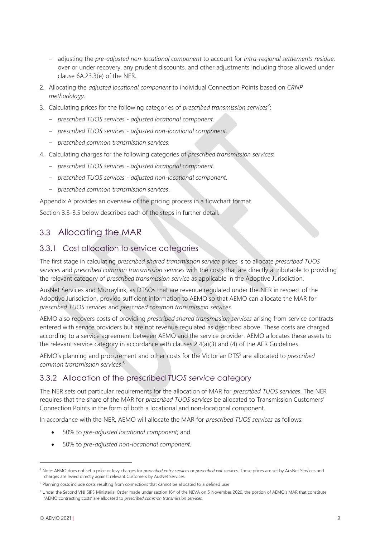- adjusting the *pre-adjusted non-locational component* to account for *intra-regional settlements residue*, over or under recovery, any prudent discounts, and other adjustments including those allowed under clause 6A.23.3(e) of the NER.
- 2. Allocating the *adjusted locational component* to individual Connection Points based on *CRNP methodology*.
- 3. Calculating prices for the following categories of *prescribed transmission services<sup>4</sup>* :
	- *prescribed TUOS services - adjusted locational component*.
	- *prescribed TUOS services - adjusted non-locational component*.
	- *prescribed common transmission services.*
- 4. Calculating charges for the following categories of *prescribed transmission services*:
	- *prescribed TUOS services - adjusted locational component*.
	- *prescribed TUOS services adjusted non-locational component*.
	- *prescribed common transmission services*.

Appendix A provides an overview of the pricing process in a flowchart format.

Section 3.3-3.5 below describes each of the steps in further detail.

### <span id="page-8-0"></span>3.3 Allocating the MAR

#### 3.3.1 Cost allocation to service categories

The first stage in calculating *prescribed shared transmission service* prices is to allocate *prescribed TUOS services* and *prescribed common transmission services* with the costs that are directly attributable to providing the relevant category of *prescribed transmission service* as applicable in the Adoptive Jurisdiction.

AusNet Services and Murraylink, as DTSOs that are revenue regulated under the NER in respect of the Adoptive Jurisdiction, provide sufficient information to AEMO so that AEMO can allocate the MAR for *prescribed TUOS services* and *prescribed common transmission services*.

AEMO also recovers costs of providing *prescribed shared transmission services* arising from service contracts entered with service providers but are not revenue regulated as described above. These costs are charged according to a service agreement between AEMO and the service provider. AEMO allocates these assets to the relevant service category in accordance with clauses 2.4(a)(3) and (4) of the AER Guidelines.

AEMO's planning and procurement and other costs for the Victorian DTS<sup>5</sup> are allocated to *prescribed common transmission services*. 6

### 3.3.2 Allocation of the prescribed *TUOS service* category

The NER sets out particular requirements for the allocation of MAR for *prescribed TUOS services*. The NER requires that the share of the MAR for *prescribed TUOS services* be allocated to Transmission Customers' Connection Points in the form of both a locational and non-locational component.

In accordance with the NER, AEMO will allocate the MAR for *prescribed TUOS services* as follows:

- 50% to *pre-adjusted locational component*; and
- 50% to *pre-adjusted non-locational component*.

<sup>4</sup> Note: AEMO does not set a price or levy charges for *prescribed entry services* or *prescribed exit services.* Those prices are set by AusNet Services and charges are levied directly against relevant Customers by AusNet Services.

<sup>&</sup>lt;sup>5</sup> Planning costs include costs resulting from connections that cannot be allocated to a defined user

<sup>6</sup> Under the Second VNI SIPS Ministerial Order made under section 16Y of the NEVA on 5 November 2020, the portion of AEMO's MAR that constitute 'AEMO contracting costs' are allocated to *prescribed common transmission services.*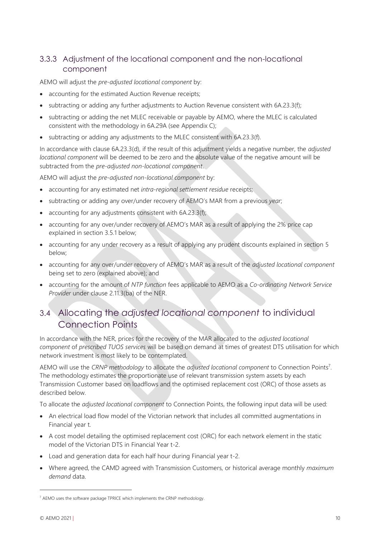### 3.3.3 Adjustment of the locational component and the non-locational component

AEMO will adjust the *pre-adjusted locational component* by:

- accounting for the estimated Auction Revenue receipts;
- subtracting or adding any further adjustments to Auction Revenue consistent with 6A.23.3(f);
- subtracting or adding the net MLEC receivable or payable by AEMO, where the MLEC is calculated consistent with the methodology in 6A.29A (see Appendix C);
- subtracting or adding any adjustments to the MLEC consistent with 6A.23.3(f).

In accordance with clause 6A.23.3(d), if the result of this adjustment yields a negative number, the *adjusted locational component* will be deemed to be zero and the absolute value of the negative amount will be subtracted from the *pre-adjusted non-locational component*.

AEMO will adjust the *pre-adjusted non-locational component* by:

- accounting for any estimated net *intra-regional settlement residue* receipts;
- subtracting or adding any over/under recovery of AEMO's MAR from a previous *year*;
- accounting for any adjustments consistent with 6A.23.3(f);
- accounting for any over/under recovery of AEMO's MAR as a result of applying the 2% price cap explained in section 3.5.1 below;
- accounting for any under recovery as a result of applying any prudent discounts explained in section 5 below;
- accounting for any over/under recovery of AEMO's MAR as a result of the *adjusted locational component* being set to zero (explained above); and
- accounting for the amount of *NTP function* fees applicable to AEMO as a *Co-ordinating Network Service Provider* under clause 2.11.3(ba) of the NER.

# <span id="page-9-0"></span>3.4 Allocating the *adjusted locational component* to individual Connection Points

In accordance with the NER, prices for the recovery of the MAR allocated to the *adjusted locational component* of *prescribed TUOS services* will be based on demand at times of greatest DTS utilisation for which network investment is most likely to be contemplated.

AEMO will use the CRNP methodology to allocate the *adjusted locational component* to Connection Points<sup>7</sup>. The methodology estimates the proportionate use of relevant transmission system assets by each Transmission Customer based on loadflows and the optimised replacement cost (ORC) of those assets as described below.

To allocate the *adjusted locational component* to Connection Points, the following input data will be used:

- An electrical load flow model of the Victorian network that includes all committed augmentations in Financial year t.
- A cost model detailing the optimised replacement cost (ORC) for each network element in the static model of the Victorian DTS in Financial Year t-2.
- Load and generation data for each half hour during Financial year t-2.
- Where agreed, the CAMD agreed with Transmission Customers, or historical average monthly *maximum demand* data.

<sup>7</sup> AEMO uses the software package TPRICE which implements the CRNP methodology.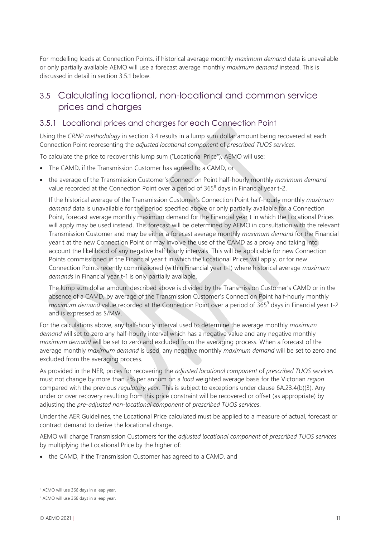For modelling loads at Connection Points, if historical average monthly *maximum demand* data is unavailable or only partially available AEMO will use a forecast average monthly *maximum demand* instead. This is discussed in detail in section 3.5.1 below.

# <span id="page-10-0"></span>3.5 Calculating locational, non-locational and common service prices and charges

### 3.5.1 Locational prices and charges for each Connection Point

Using the *CRNP methodology* in section 3.4 results in a lump sum dollar amount being recovered at each Connection Point representing the *adjusted locational component* of *prescribed TUOS services*.

To calculate the price to recover this lump sum ("Locational Price"), AEMO will use:

- The CAMD, if the Transmission Customer has agreed to a CAMD, or
- the average of the Transmission Customer's Connection Point half-hourly monthly *maximum demand* value recorded at the Connection Point over a period of 365<sup>8</sup> days in Financial year t-2.

If the historical average of the Transmission Customer's Connection Point half-hourly monthly *maximum demand* data is unavailable for the period specified above or only partially available for a Connection Point, forecast average monthly maximum demand for the Financial year t in which the Locational Prices will apply may be used instead. This forecast will be determined by AEMO in consultation with the relevant Transmission Customer and may be either a forecast average monthly *maximum demand* for the Financial year t at the new Connection Point or may involve the use of the CAMD as a proxy and taking into account the likelihood of any negative half hourly intervals. This will be applicable for new Connection Points commissioned in the Financial year t in which the Locational Prices will apply, or for new Connection Points recently commissioned (within Financial year t-1) where historical average *maximum demands* in Financial year t-1 is only partially available.

The lump sum dollar amount described above is divided by the Transmission Customer's CAMD or in the absence of a CAMD, by average of the Transmission Customer's Connection Point half-hourly monthly *maximum demand* value recorded at the Connection Point over a period of 365<sup>9</sup> days in Financial year t-2 and is expressed as \$/MW.

For the calculations above, any half-hourly interval used to determine the average monthly *maximum demand* will set to zero any half-hourly interval which has a negative value and any negative monthly *maximum demand* will be set to zero and excluded from the averaging process. When a forecast of the average monthly *maximum demand* is used, any negative monthly *maximum demand* will be set to zero and excluded from the averaging process.

As provided in the NER, prices for recovering the *adjusted locational component* of *prescribed TUOS services* must not change by more than 2% per annum on a *load* weighted average basis for the Victorian *region* compared with the previous *regulatory year*. This is subject to exceptions under clause 6A.23.4(b)(3). Any under or over recovery resulting from this price constraint will be recovered or offset (as appropriate) by adjusting the *pre-adjusted non-locational component* of *prescribed TUOS services*.

Under the AER Guidelines, the Locational Price calculated must be applied to a measure of actual, forecast or contract demand to derive the locational charge.

AEMO will charge Transmission Customers for the *adjusted locational component* of *prescribed TUOS services* by multiplying the Locational Price by the higher of:

• the CAMD, if the Transmission Customer has agreed to a CAMD, and

<sup>8</sup> AEMO will use 366 days in a leap year.

<sup>&</sup>lt;sup>9</sup> AEMO will use 366 days in a leap year.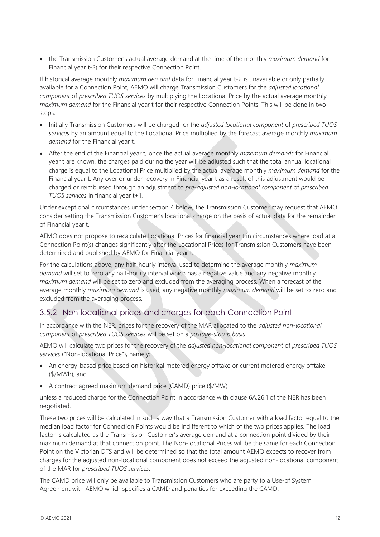• the Transmission Customer's actual average demand at the time of the monthly *maximum demand* for Financial year t-2) for their respective Connection Point.

If historical average monthly *maximum demand* data for Financial year t-2 is unavailable or only partially available for a Connection Point, AEMO will charge Transmission Customers for the *adjusted locational component* of *prescribed TUOS services* by multiplying the Locational Price by the actual average monthly *maximum demand* for the Financial year t for their respective Connection Points. This will be done in two steps.

- Initially Transmission Customers will be charged for the *adjusted locational component* of *prescribed TUOS services* by an amount equal to the Locational Price multiplied by the forecast average monthly *maximum demand* for the Financial year t.
- After the end of the Financial year t, once the actual average monthly *maximum demands* for Financial year t are known, the charges paid during the year will be adjusted such that the total annual locational charge is equal to the Locational Price multiplied by the actual average monthly *maximum demand* for the Financial year t. Any over or under recovery in Financial year t as a result of this adjustment would be charged or reimbursed through an adjustment to *pre-adjusted non-locational component* of *prescribed TUOS services* in financial year t+1.

Under exceptional circumstances under section 4 below, the Transmission Customer may request that AEMO consider setting the Transmission Customer's locational charge on the basis of actual data for the remainder of Financial year t.

AEMO does not propose to recalculate Locational Prices for financial year t in circumstances where load at a Connection Point(s) changes significantly after the Locational Prices for Transmission Customers have been determined and published by AEMO for Financial year t.

For the calculations above, any half-hourly interval used to determine the average monthly *maximum demand* will set to zero any half-hourly interval which has a negative value and any negative monthly *maximum demand* will be set to zero and excluded from the averaging process. When a forecast of the average monthly *maximum demand* is used, any negative monthly *maximum demand* will be set to zero and excluded from the averaging process.

### 3.5.2 Non-locational prices and charges for each Connection Point

In accordance with the NER, prices for the recovery of the MAR allocated to the *adjusted non-locational component* of *prescribed TUOS services* will be set on a *postage-stamp basis*.

AEMO will calculate two prices for the recovery of the *adjusted non-locational component* of *prescribed TUOS services* ("Non-locational Price"), namely:

- An energy-based price based on historical metered energy offtake or current metered energy offtake (\$/MWh); and
- A contract agreed maximum demand price (CAMD) price (\$/MW)

unless a reduced charge for the Connection Point in accordance with clause 6A.26.1 of the NER has been negotiated.

These two prices will be calculated in such a way that a Transmission Customer with a load factor equal to the median load factor for Connection Points would be indifferent to which of the two prices applies. The load factor is calculated as the Transmission Customer's average demand at a connection point divided by their maximum demand at that connection point. The Non-locational Prices will be the same for each Connection Point on the Victorian DTS and will be determined so that the total amount AEMO expects to recover from charges for the adjusted non-locational component does not exceed the adjusted non-locational component of the MAR for *prescribed TUOS services*.

The CAMD price will only be available to Transmission Customers who are party to a Use-of System Agreement with AEMO which specifies a CAMD and penalties for exceeding the CAMD.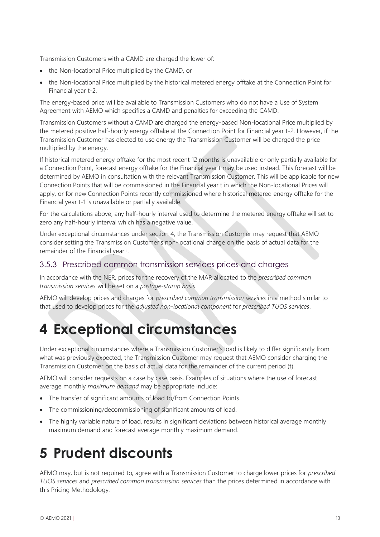Transmission Customers with a CAMD are charged the lower of:

- the Non-locational Price multiplied by the CAMD, or
- the Non-locational Price multiplied by the historical metered energy offtake at the Connection Point for Financial year t-2.

The energy-based price will be available to Transmission Customers who do not have a Use of System Agreement with AEMO which specifies a CAMD and penalties for exceeding the CAMD.

Transmission Customers without a CAMD are charged the energy-based Non-locational Price multiplied by the metered positive half-hourly energy offtake at the Connection Point for Financial year t-2. However, if the Transmission Customer has elected to use energy the Transmission Customer will be charged the price multiplied by the energy.

If historical metered energy offtake for the most recent 12 months is unavailable or only partially available for a Connection Point, forecast energy offtake for the Financial year t may be used instead. This forecast will be determined by AEMO in consultation with the relevant Transmission Customer. This will be applicable for new Connection Points that will be commissioned in the Financial year t in which the Non-locational Prices will apply, or for new Connection Points recently commissioned where historical metered energy offtake for the Financial year t-1 is unavailable or partially available.

For the calculations above, any half-hourly interval used to determine the metered energy offtake will set to zero any half-hourly interval which has a negative value.

Under exceptional circumstances under section 4, the Transmission Customer may request that AEMO consider setting the Transmission Customer's non-locational charge on the basis of actual data for the remainder of the Financial year t.

#### 3.5.3 Prescribed common transmission services prices and charges

In accordance with the NER, prices for the recovery of the MAR allocated to the *prescribed common transmission services* will be set on a *postage-stamp basis*.

AEMO will develop prices and charges for *prescribed common transmission services* in a method similar to that used to develop prices for the *adjusted non-locational component* for *prescribed TUOS services*.

# <span id="page-12-0"></span>**4 Exceptional circumstances**

Under exceptional circumstances where a Transmission Customer's load is likely to differ significantly from what was previously expected, the Transmission Customer may request that AEMO consider charging the Transmission Customer on the basis of actual data for the remainder of the current period (t).

AEMO will consider requests on a case by case basis. Examples of situations where the use of forecast average monthly *maximum demand* may be appropriate include:

- The transfer of significant amounts of load to/from Connection Points.
- The commissioning/decommissioning of significant amounts of load.
- The highly variable nature of load, results in significant deviations between historical average monthly maximum demand and forecast average monthly maximum demand.

# <span id="page-12-1"></span>**5 Prudent discounts**

AEMO may, but is not required to, agree with a Transmission Customer to charge lower prices for *prescribed TUOS services* and *prescribed common transmission services* than the prices determined in accordance with this Pricing Methodology.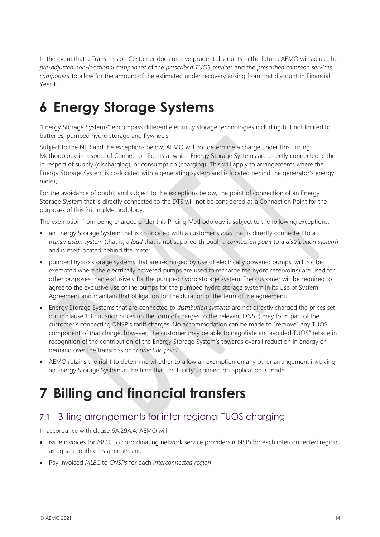In the event that a Transmission Customer does receive prudent discounts in the future, AEMO will adjust the *pre-adjusted non-locational component* of the *prescribed TUOS services* and the *prescribed common services component* to allow for the amount of the estimated under recovery arising from that discount in Financial Year t.

# <span id="page-13-0"></span>**6 Energy Storage Systems**

"Energy Storage Systems" encompass different electricity storage technologies including but not limited to batteries, pumped hydro storage and flywheels.

Subject to the NER and the exceptions below, AEMO will not determine a charge under this Pricing Methodology in respect of Connection Points at which Energy Storage Systems are directly connected, either in respect of supply (discharging), or consumption (charging). This will apply to arrangements where the Energy Storage System is co-located with a generating system and is located behind the generator's energy meter,

For the avoidance of doubt, and subject to the exceptions below, the point of connection of an Energy Storage System that is directly connected to the DTS will not be considered as a Connection Point for the purposes of this Pricing Methodology.

The exemption from being charged under this Pricing Methodology is subject to the following exceptions:

- an Energy Storage System that is co-located with a customer's *load* that is directly connected to a *transmission system* (that is, a *load* that is not supplied through a *connection point* to a *distribution system*) and is itself located behind the meter.
- pumped hydro storage systems that are recharged by use of electrically powered pumps, will not be exempted where the electrically powered pumps are used to recharge the hydro reservoir(s) are used for other purposes than exclusively for the pumped hydro storage system. The customer will be required to agree to the exclusive use of the pumps for the pumped hydro storage system in its Use of System Agreement and maintain that obligation for the duration of the term of the agreement.
- Energy Storage Systems that are connected to *distribution systems* are not directly charged the prices set out in clause 1.3 but such prices (in the form of charges to the relevant DNSP) may form part of the customer's connecting DNSP's tariff charges. No accommodation can be made to "remove" any TUOS component of that charge, however, the customer may be able to negotiate an "avoided TUOS" rebate in recognition of the contribution of the Energy Storage System's towards overall reduction in energy or demand over the transmission *connection point*.
- AEMO retains the right to determine whether to allow an exemption on any other arrangement involving an Energy Storage System at the time that the facility's connection application is made.

# <span id="page-13-1"></span>**7 Billing and financial transfers**

# <span id="page-13-2"></span>7.1 Billing arrangements for inter-regional TUOS charging

In accordance with clause 6A.29A.4, AEMO will:

- issue invoices for *MLEC* to co-ordinating network service providers (CNSP) for each interconnected region, as equal monthly instalments; and
- Pay invoiced *MLEC* to *CNSPs* for each *interconnected region*.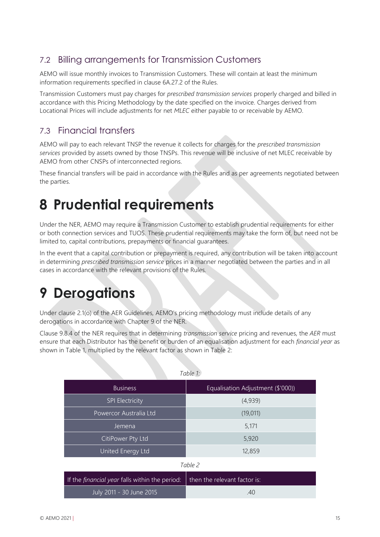# <span id="page-14-0"></span>7.2 Billing arrangements for Transmission Customers

AEMO will issue monthly invoices to Transmission Customers. These will contain at least the minimum information requirements specified in clause 6A.27.2 of the Rules.

Transmission Customers must pay charges for *prescribed transmission services* properly charged and billed in accordance with this Pricing Methodology by the date specified on the invoice. Charges derived from Locational Prices will include adjustments for net *MLEC* either payable to or receivable by AEMO.

# <span id="page-14-1"></span>7.3 Financial transfers

AEMO will pay to each relevant TNSP the revenue it collects for charges for the *prescribed transmission services* provided by assets owned by those TNSPs. This revenue will be inclusive of net MLEC receivable by AEMO from other CNSPs of interconnected regions.

These financial transfers will be paid in accordance with the Rules and as per agreements negotiated between the parties.

# <span id="page-14-2"></span>**8 Prudential requirements**

Under the NER, AEMO may require a Transmission Customer to establish prudential requirements for either or both connection services and TUOS. These prudential requirements may take the form of, but need not be limited to, capital contributions, prepayments or financial guarantees.

In the event that a capital contribution or prepayment is required, any contribution will be taken into account in determining *prescribed transmission service* prices in a manner negotiated between the parties and in all cases in accordance with the relevant provisions of the Rules.

# <span id="page-14-3"></span>**9 Derogations**

Under clause 2.1(o) of the AER Guidelines, AEMO's pricing methodology must include details of any derogations in accordance with Chapter 9 of the NER.

Clause 9.8.4 of the NER requires that in determining *transmission service* pricing and revenues, the *AER* must ensure that each Distributor has the benefit or burden of an equalisation adjustment for each *financial year* as shown in Table 1, multiplied by the relevant factor as shown in Table 2:

|                        | Table 1:                          |
|------------------------|-----------------------------------|
| <b>Business</b>        | Equalisation Adjustment (\$'000)) |
| <b>SPI Electricity</b> | (4,939)                           |
| Powercor Australia Ltd | (19, 011)                         |
| Jemena                 | 5,171                             |
| CitiPower Pty Ltd      | 5,920                             |
| United Energy Ltd      | 12,859                            |

*Table 2*

| If the <i>financial year</i> falls within the period: $\parallel$ then the relevant factor is: |    |
|------------------------------------------------------------------------------------------------|----|
| July 2011 - 30 June 2015                                                                       | 40 |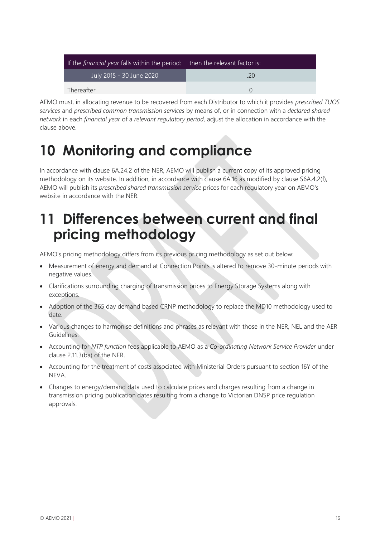| If the <i>financial year</i> falls within the period: $\vert$ then the relevant factor is: |  |  |
|--------------------------------------------------------------------------------------------|--|--|
| July 2015 - 30 June 2020                                                                   |  |  |
| Thereafter                                                                                 |  |  |

<span id="page-15-0"></span>AEMO must, in allocating revenue to be recovered from each Distributor to which it provides *prescribed TUOS services* and *prescribed common transmission services* by means of, or in connection with a *declared shared network* in each *financial year* of a *relevant regulatory period*, adjust the allocation in accordance with the clause above.

# **10 Monitoring and compliance**

In accordance with clause 6A.24.2 of the NER, AEMO will publish a current copy of its approved pricing methodology on its website. In addition, in accordance with clause 6A.16 as modified by clause S6A.4.2(f), AEMO will publish its *prescribed shared transmission service* prices for each regulatory year on AEMO's website in accordance with the NER.

# <span id="page-15-1"></span>**11 Differences between current and final pricing methodology**

AEMO's pricing methodology differs from its previous pricing methodology as set out below:

- Measurement of energy and demand at Connection Points is altered to remove 30-minute periods with negative values.
- Clarifications surrounding charging of transmission prices to Energy Storage Systems along with exceptions.
- Adoption of the 365 day demand based CRNP methodology to replace the MD10 methodology used to date.
- Various changes to harmonise definitions and phrases as relevant with those in the NER, NEL and the AER Guidelines.
- Accounting for *NTP function* fees applicable to AEMO as a *Co-ordinating Network Service Provider* under clause 2.11.3(ba) of the NER.
- Accounting for the treatment of costs associated with Ministerial Orders pursuant to section 16Y of the **NFVA**
- Changes to energy/demand data used to calculate prices and charges resulting from a change in transmission pricing publication dates resulting from a change to Victorian DNSP price regulation approvals.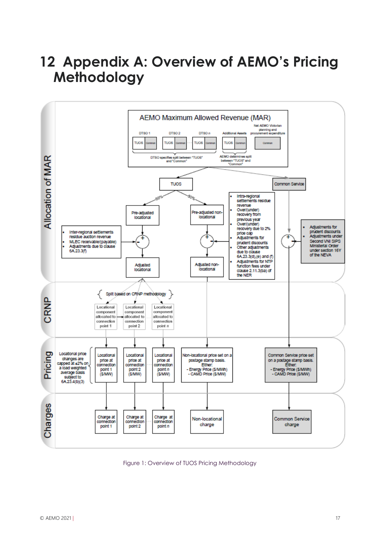# <span id="page-16-0"></span>**12 Appendix A: Overview of AEMO's Pricing Methodology**



Figure 1: Overview of TUOS Pricing Methodology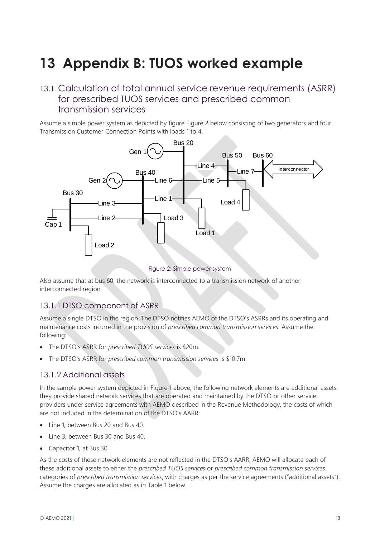# <span id="page-17-0"></span>**13 Appendix B: TUOS worked example**

### <span id="page-17-1"></span>13.1 Calculation of total annual service revenue requirements (ASRR) for prescribed TUOS services and prescribed common transmission services

Assume a simple power system as depicted by figure [Figure 2](#page-17-2) below consisting of two generators and four Transmission Customer Connection Points with loads 1 to 4.



Figure 2: Simple power system

<span id="page-17-2"></span>Also assume that at bus 60, the network is interconnected to a transmission network of another interconnected region.

### 13.1.1 DTSO component of ASRR

Assume a single DTSO in the region. The DTSO notifies AEMO of the DTSO's ASRRs and its operating and maintenance costs incurred in the provision of *prescribed common transmission services*. Assume the following:

- The DTSO's ASRR for *prescribed TUOS services* is \$20m.
- The DTSO's ASRR for *prescribed common transmission services* is \$10.7m.

#### 13.1.2 Additional assets

In the sample power system depicted in Figure 1 above, the following network elements are additional assets; they provide shared network services that are operated and maintained by the DTSO or other service providers under service agreements with AEMO described in the Revenue Methodology, the costs of which are not included in the determination of the DTSO's AARR:

- Line 1, between Bus 20 and Bus 40.
- Line 3, between Bus 30 and Bus 40.
- Capacitor 1, at Bus 30.

As the costs of these network elements are not reflected in the DTSO's AARR, AEMO will allocate each of these additional assets to either the *prescribed TUOS services* or *prescribed common transmission services* categories of *prescribed transmission services*, with charges as per the service agreements ("additional assets"). Assume the charges are allocated as in [Table 1](#page-18-1) below.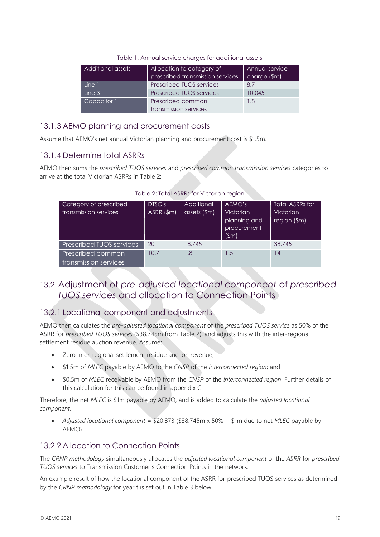| Table 1: Annual service charges for additional assets |  |
|-------------------------------------------------------|--|
|-------------------------------------------------------|--|

<span id="page-18-1"></span>

| Additional assets | Allocation to category of        | Annual service |
|-------------------|----------------------------------|----------------|
|                   | prescribed transmission services | charge (\$m)   |
| Line 1            | <b>Prescribed TUOS services</b>  | 8.7            |
| Line 3            | <b>Prescribed TUOS services</b>  | 10.045         |
| Capacitor 1       | Prescribed common                | 1.8            |
|                   | transmission services            |                |

### 13.1.3 AEMO planning and procurement costs

Assume that AEMO's net annual Victorian planning and procurement cost is \$1.5m.

### 13.1.4 Determine total ASRRs

<span id="page-18-2"></span>AEMO then sums the *prescribed TUOS services* and *prescribed common transmission services* categories to arrive at the total Victorian ASRRs in [Table 2:](#page-18-2)

| Category of prescribed<br>transmission services | DTSO's<br>ASRR (\$m) | Additional<br>assets $(\$m)$ | AEMO's<br>Victorian<br>planning and<br>procurement<br>$(\$m)$ | <b>Total ASRRs for</b><br><b>Victorian</b><br>region (\$m) |
|-------------------------------------------------|----------------------|------------------------------|---------------------------------------------------------------|------------------------------------------------------------|
| <b>Prescribed TUOS services</b>                 | 20                   | 18.745                       |                                                               | 38.745                                                     |
| Prescribed common<br>transmission services      | 10.7                 | 1.8                          | 1.5                                                           | 14                                                         |

Table 2: Total ASRRs for Victorian region

### <span id="page-18-0"></span>13.2 Adjustment of *pre-adjusted locational component* of *prescribed TUOS services* and allocation to Connection Points

### 13.2.1 Locational component and adjustments

AEMO then calculates the *pre-adjusted locational component* of the *prescribed TUOS service* as 50% of the ASRR for *prescribed TUOS services* (\$38.745m from Table 2), and adjusts this with the inter-regional settlement residue auction revenue. Assume:

- Zero inter-regional settlement residue auction revenue;
- \$1.5m of *MLEC* payable by AEMO to the *CNSP* of the *interconnected region*; and
- \$0.5m of *MLEC* receivable by AEMO from the *CNSP* of the *interconnected region*. Further details of this calculation for this can be found in appendix C.

Therefore, the net *MLEC* is \$1m payable by AEMO, and is added to calculate the *adjusted locational component*.

• *Adjusted locational component* = \$20.373 (\$38.745m x 50% + \$1m due to net *MLEC* payable by AEMO)

### 13.2.2 Allocation to Connection Points

The *CRNP methodology* simultaneously allocates the *adjusted locational component* of the *ASRR* for *prescribed TUOS services* to Transmission Customer's Connection Points in the network.

An example result of how the locational component of the ASRR for prescribed TUOS services as determined by the *CRNP methodology* for year t is set out in [Table 3](#page-19-1) below.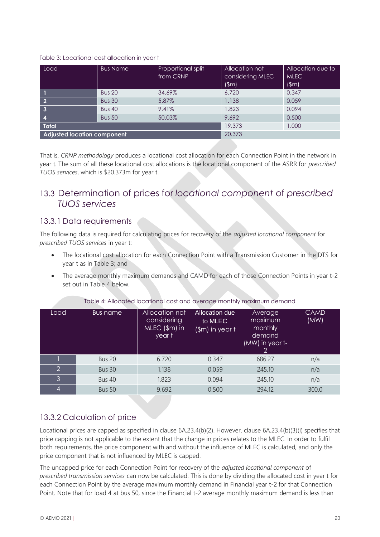#### <span id="page-19-1"></span>Table 3: Locational cost allocation in year t

| Load                               | <b>Bus Name</b> | Proportional split<br>from CRNP | Allocation not<br>considering MLEC<br>(\$m) | Allocation due to<br><b>MLEC</b><br>$(\$m)$ |
|------------------------------------|-----------------|---------------------------------|---------------------------------------------|---------------------------------------------|
|                                    | <b>Bus 20</b>   | 34.69%                          | 6.720                                       | 0.347                                       |
| $\overline{\mathbf{2}}$            | <b>Bus 30</b>   | 5.87%                           | 1.138                                       | 0.059                                       |
| $\overline{\mathbf{3}}$            | <b>Bus 40</b>   | 9.41%                           | 1.823                                       | 0.094                                       |
| $\overline{4}$                     | <b>Bus 50</b>   | 50.03%                          | 9.692                                       | 0.500                                       |
| <b>Total</b>                       |                 |                                 | 19.373                                      | 1.000                                       |
| <b>Adjusted location component</b> |                 |                                 | 20.373                                      |                                             |

That is, *CRNP methodology* produces a locational cost allocation for each Connection Point in the network in year t. The sum of all these locational cost allocations is the locational component of the ASRR for *prescribed TUOS services*, which is \$20.373m for year t.

### <span id="page-19-0"></span>13.3 Determination of prices for *locational component* of *prescribed TUOS services*

#### 13.3.1 Data requirements

The following data is required for calculating prices for recovery of the *adjusted locational component* for *prescribed TUOS services* in year t:

- The locational cost allocation for each Connection Point with a Transmission Customer in the DTS for year t as in [Table 3;](#page-19-1) and
- The average monthly maximum demands and CAMD for each of those Connection Points in year t-2 set out in Table 4 below.

| Load           | Bus name      | Allocation not<br>considering<br>$MEC ($ \$m $)$ in<br>year t | Allocation due<br>to MLEC<br>$(\$m)$ in year t | Average<br>maximum<br>monthly<br>demand<br>(MW) in year t-<br>2 | <b>CAMD</b><br>(MW) |
|----------------|---------------|---------------------------------------------------------------|------------------------------------------------|-----------------------------------------------------------------|---------------------|
|                | <b>Bus 20</b> | 6.720                                                         | 0.347                                          | 686.27                                                          | n/a                 |
| $\overline{2}$ | <b>Bus 30</b> | 1.138                                                         | 0.059                                          | 245.10                                                          | n/a                 |
| 3              | <b>Bus 40</b> | 1.823                                                         | 0.094                                          | 245.10                                                          | n/a                 |
| 4              | <b>Bus 50</b> | 9.692                                                         | 0.500                                          | 294.12                                                          | 300.0               |

#### Table 4: Allocated locational cost and average monthly maximum demand

### 13.3.2 Calculation of price

Locational prices are capped as specified in clause 6A.23.4(b)(2). However, clause 6A.23.4(b)(3)(i) specifies that price capping is not applicable to the extent that the change in prices relates to the MLEC. In order to fulfil both requirements, the price component with and without the influence of MLEC is calculated, and only the price component that is not influenced by MLEC is capped.

The uncapped price for each Connection Point for recovery of the *adjusted locational component* of *prescribed transmission services* can now be calculated. This is done by dividing the allocated cost in year t for each Connection Point by the average maximum monthly demand in Financial year t-2 for that Connection Point. Note that for load 4 at bus 50, since the Financial t-2 average monthly maximum demand is less than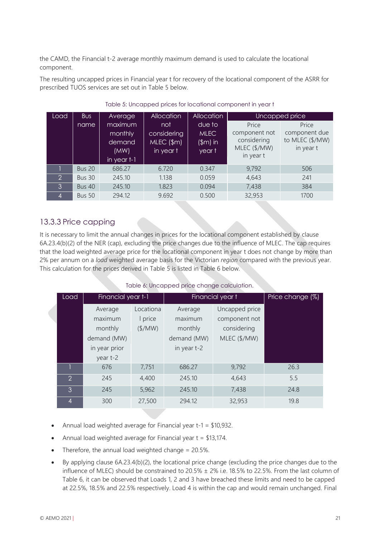the CAMD, the Financial t-2 average monthly maximum demand is used to calculate the locational component.

The resulting uncapped prices in Financial year t for recovery of the locational component of the ASRR for prescribed TUOS services are set out in Table 5 below.

<span id="page-20-0"></span>

| Load           | <b>Bus</b>    | Average                                               | <b>Allocation</b>                               | <b>Allocation</b>                             |                                                                    | Uncapped price                                         |
|----------------|---------------|-------------------------------------------------------|-------------------------------------------------|-----------------------------------------------|--------------------------------------------------------------------|--------------------------------------------------------|
|                | name          | maximum<br>monthly<br>demand<br>(MW)<br>in year $t-1$ | not<br>considering<br>$MEC ($ \$m)<br>in year t | due to<br><b>MLEC</b><br>$(\$m)$ in<br>year t | Price<br>component not<br>considering<br>MLEC (\$/MW)<br>in year t | Price<br>component due<br>to MLEC (\$/MW)<br>in year t |
|                | <b>Bus 20</b> | 686.27                                                | 6.720                                           | 0.347                                         | 9,792                                                              | 506                                                    |
| $\overline{2}$ | <b>Bus 30</b> | 245.10                                                | 1.138                                           | 0.059                                         | 4,643                                                              | 241                                                    |
| 3              | <b>Bus 40</b> | 245.10                                                | 1.823                                           | 0.094                                         | 7,438                                                              | 384                                                    |
|                | <b>Bus 50</b> | 294.12                                                | 9.692                                           | 0.500                                         | 32,953                                                             | 1700                                                   |

#### Table 5: Uncapped prices for locational component in year t

### 13.3.3 Price capping

It is necessary to limit the annual changes in prices for the locational component established by clause 6A.23.4(b)(2) of the NER (cap), excluding the price changes due to the influence of MLEC. The cap requires that the load weighted average price for the locational component in year t does not change by more than 2% per annum on a *load* weighted average basis for the Victorian *region* compared with the previous year. This calculation for the prices derived in [Table 5](#page-20-0) is listed in [Table 6](#page-20-1) below.

#### Table 6: Uncapped price change calculation.

<span id="page-20-1"></span>

| Load           | Financial year t-1 |                 |             | Financial year t | Price change (%) |
|----------------|--------------------|-----------------|-------------|------------------|------------------|
|                | Average            | Locationa       | Average     | Uncapped price   |                  |
|                | maximum            | I price         | maximum     | component not    |                  |
|                | monthly            | $(\frac{4}{M})$ | monthly     | considering      |                  |
|                | demand (MW)        |                 | demand (MW) | MLEC (\$/MW)     |                  |
|                | in year prior      |                 | in year t-2 |                  |                  |
|                | year t-2           |                 |             |                  |                  |
|                | 676                | 7,751           | 686.27      | 9,792            | 26.3             |
| $\mathcal{P}$  | 245                | 4,400           | 245.10      | 4,643            | 5.5              |
| 3              | 245                | 5,962           | 245.10      | 7,438            | 24.8             |
| $\overline{4}$ | 300                | 27,500          | 294.12      | 32,953           | 19.8             |

- Annual load weighted average for Financial year t-1 = \$10,932.
- Annual load weighted average for Financial year  $t = $13,174$ .
- Therefore, the annual load weighted change  $= 20.5\%$ .
- By applying clause 6A.23.4(b)(2), the locational price change (excluding the price changes due to the influence of MLEC) should be constrained to 20.5%  $\pm$  2% i.e. 18.5% to 22.5%. From the last column of [Table 6,](#page-20-1) it can be observed that Loads 1, 2 and 3 have breached these limits and need to be capped at 22.5%, 18.5% and 22.5% respectively. Load 4 is within the cap and would remain unchanged. Final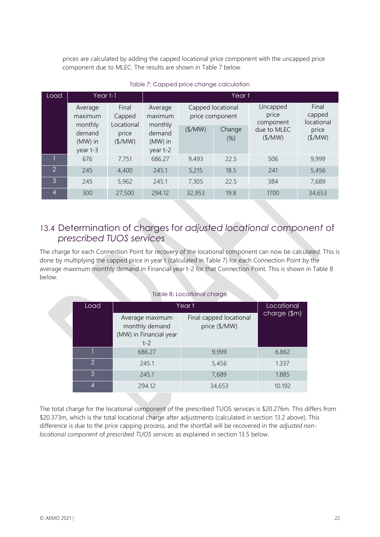prices are calculated by adding the capped locational price component with the uncapped price component due to MLEC. The results are shown i[n Table 7](#page-21-1) below.

<span id="page-21-1"></span>

| Load           | Year t-1                                   |                               | Year t                                     |                 |                                      |                                |                               |  |
|----------------|--------------------------------------------|-------------------------------|--------------------------------------------|-----------------|--------------------------------------|--------------------------------|-------------------------------|--|
|                | Average<br>maximum                         | Final<br>Capped<br>Locational | Average<br>maximum                         |                 | Capped locational<br>price component | Uncapped<br>price<br>component | Final<br>capped<br>locational |  |
|                | monthly<br>demand<br>$(MW)$ in<br>year t-3 | price<br>$(\frac{4}{M})$      | monthly<br>demand<br>$(MW)$ in<br>year t-2 | $(\frac{4}{M})$ | Change<br>$(\%)$                     | due to MLEC<br>$(\frac{4}{M})$ | price<br>$(\frac{4}{M})$      |  |
|                | 676                                        | 7,751                         | 686.27                                     | 9,493           | 22.5                                 | 506                            | 9,999                         |  |
| $\overline{2}$ | 245                                        | 4,400                         | 245.1                                      | 5,215           | 18.5                                 | 241                            | 5,456                         |  |
| 3              | 245                                        | 5,962                         | 245.1                                      | 7,305           | 22.5                                 | 384                            | 7,689                         |  |
| 4              | 300                                        | 27,500                        | 294.12                                     | 32,953          | 19.8                                 | 1700                           | 34,653                        |  |

#### Table 7: Capped price change calculation

## <span id="page-21-0"></span>13.4 Determination of charges for *adjusted locational component* of *prescribed TUOS services*

The charge for each Connection Point for recovery of the locational component can now be calculated. This is done by multiplying the capped price in year t (calculated in [Table 7\)](#page-21-1) for each Connection Point by the average maximum monthly demand in Financial year t-2 for that Connection Point. This is shown in [Table 8](#page-21-2) below.

|  | Table 8: Locational charge |  |  |
|--|----------------------------|--|--|
|  |                            |  |  |

<span id="page-21-2"></span>

| Load |                | Year t                                                               | Locational                               |              |
|------|----------------|----------------------------------------------------------------------|------------------------------------------|--------------|
|      |                | Average maximum<br>monthly demand<br>(MW) in Financial year<br>$t-2$ | Final capped locational<br>price (\$/MW) | charge (\$m) |
|      |                | 686.27                                                               | 9,999                                    | 6.862        |
|      | $\overline{2}$ | 245.1                                                                | 5,456                                    | 1.337        |
|      | 3              | 245.1                                                                | 7,689                                    | 1.885        |
|      |                | 294.12                                                               | 34,653                                   | 10.192       |

The total charge for the locational component of the prescribed TUOS services is \$20.276m. This differs from \$20.373m, which is the total locational charge after adjustments (calculated in section 13.2 above). This difference is due to the price capping process, and the shortfall will be recovered in the *adjusted nonlocational component* of *prescribed TUOS services* as explained in section 13.5 below.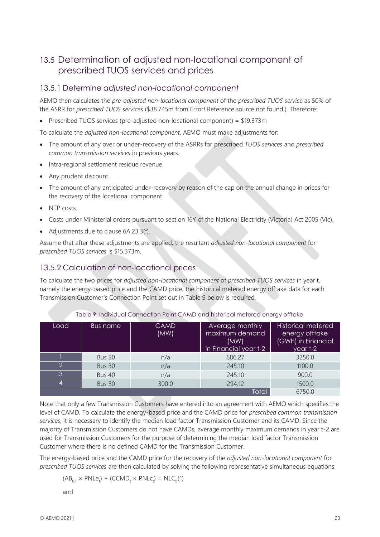### <span id="page-22-0"></span>13.5 Determination of adjusted non-locational component of prescribed TUOS services and prices

#### 13.5.1 Determine *adjusted non-locational component*

AEMO then calculates the *pre-adjusted non-locational component* of the *prescribed TUOS service* as 50% of the ASRR for *prescribed TUOS services* (\$38.745m from Error! Reference source not found.). Therefore:

• Prescribed TUOS services (pre-adjusted non-locational component) = \$19.373m

To calculate the *adjusted non-locational component*, AEMO must make adjustments for:

- The amount of any over or under-recovery of the ASRRs for prescribed *TUOS services* and *prescribed common transmission services* in previous years.
- Intra-regional settlement residue revenue.
- Any prudent discount.
- The amount of any anticipated under-recovery by reason of the cap on the annual change in prices for the recovery of the locational component.
- NTP costs.
- Costs under Ministerial orders pursuant to section 16Y of the National Electricity (Victoria) Act 2005 (Vic).
- Adjustments due to clause 6A.23.3(f).

Assume that after these adjustments are applied, the resultant *adjusted non-locational component* for *prescribed TUOS services* is \$15.373m.

#### 13.5.2 Calculation of non-locational prices

To calculate the two prices for *adjusted non-locational component* of *prescribed TUOS services* in year t, namely the energy-based price and the CAMD price, the historical metered energy offtake data for each Transmission Customer's Connection Point set out in [Table 9](#page-22-1) below is required.

<span id="page-22-1"></span>

| Load | Bus name      | <b>CAMD</b><br>(MW) | Average monthly<br>maximum demand<br>(MW)<br>in Financial year t-2 | <b>Historical metered</b><br>energy offtake<br>(GWh) in Financial<br>year t-2 |
|------|---------------|---------------------|--------------------------------------------------------------------|-------------------------------------------------------------------------------|
|      | <b>Bus 20</b> | n/a                 | 686.27                                                             | 3250.0                                                                        |
| ာ    | <b>Bus 30</b> | n/a                 | 245.10                                                             | 1100.0                                                                        |
| 3    | <b>Bus 40</b> | n/a                 | 245.10                                                             | 900.0                                                                         |
|      | <b>Bus 50</b> | 300.0               | 294.12                                                             | 1500.0                                                                        |
|      |               |                     | Total                                                              | 6750.0                                                                        |

Table 9: Individual Connection Point CAMD and historical metered energy offtake

Note that only a few Transmission Customers have entered into an agreement with AEMO which specifies the level of CAMD. To calculate the energy-based price and the CAMD price for *prescribed common transmission services*, it is necessary to identify the median load factor Transmission Customer and its CAMD. Since the majority of Transmission Customers do not have CAMDs, average monthly maximum demands in year t-2 are used for Transmission Customers for the purpose of determining the median load factor Transmission Customer where there is no defined CAMD for the Transmission Customer.

The energy-based price and the CAMD price for the recovery of the *adjusted non-locational component* for *prescribed TUOS services* are then calculated by solving the following representative simultaneous equations:

 $(AB_{t-1} \times PNLe_t) + (CCMD_t \times PNLe_t) = NLC_t(1)$ 

and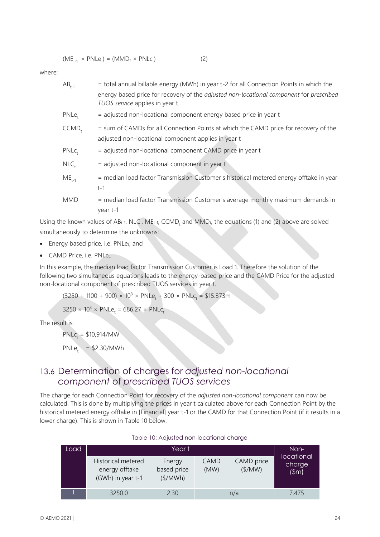$$
(ME_{t-1} \times PNLe_t) = (MMD_t \times PNLe_t)
$$
 (2)

where:

| $AB_{t-1}$        | = total annual billable energy (MWh) in year t-2 for all Connection Points in which the                                                     |
|-------------------|---------------------------------------------------------------------------------------------------------------------------------------------|
|                   | energy based price for recovery of the adjusted non-locational component for prescribed<br>TUOS service applies in year t                   |
| $PNLe+$           | = adjusted non-locational component energy based price in year t                                                                            |
| $CCMD+$           | = sum of CAMDs for all Connection Points at which the CAMD price for recovery of the<br>adjusted non-locational component applies in year t |
| PNLc <sub>+</sub> | = adjusted non-locational component CAMD price in year t                                                                                    |
| $NLC_{t}$         | $=$ adjusted non-locational component in year t                                                                                             |
| $ME_{t-1}$        | = median load factor Transmission Customer's historical metered energy offtake in year<br>$t-1$                                             |
| $MMD+$            | = median load factor Transmission Customer's average monthly maximum demands in<br>year t-1                                                 |

Using the known values of ABt-1, NLCt, MEt-1, CCMD<sub>t</sub> and MMDt, the equations (1) and (2) above are solved simultaneously to determine the unknowns:

- Energy based price, i.e. PNLet; and
- CAMD Price, i.e. PNLct.

In this example, the median load factor Transmission Customer is Load 1. Therefore the solution of the following two simultaneous equations leads to the energy-based price and the CAMD Price for the adjusted non-locational component of prescribed TUOS services in year t.

 $(3250 + 1100 + 900) \times 10^3 \times PNLe_t + 300 \times PNLc_t = $15.373m$ 

 $3250 \times 10^3 \times PNLe_t = 686.27 \times PNLc_t$ 

The result is:

 $PNLc_t = $10,914/MW$  $PNLe_t = $2.30/MWh$ 

# <span id="page-23-0"></span>13.6 Determination of charges for *adjusted non-locational component* of *prescribed TUOS services*

The charge for each Connection Point for recovery of the *adjusted non-locational component* can now be calculated. This is done by multiplying the prices in year t calculated above for each Connection Point by the historical metered energy offtake in [Financial] year t-1 or the CAMD for that Connection Point (if it results in a lower charge). This is shown in [Table 10](#page-23-1) below.

<span id="page-23-1"></span>

| Load |                                                           | Year t                                        |                     |                               | Non-                            |
|------|-----------------------------------------------------------|-----------------------------------------------|---------------------|-------------------------------|---------------------------------|
|      | Historical metered<br>energy offtake<br>(GWh) in year t-1 | Energy<br>based price<br>$(\frac{1}{2}$ /MWh) | <b>CAMD</b><br>(MW) | CAMD price<br>$(\frac{4}{M})$ | locational<br>charge<br>$(\$m)$ |
|      | 3250.0                                                    | 2.30                                          |                     | n/a                           | 7475                            |

#### Table 10: Adjusted non-locational charge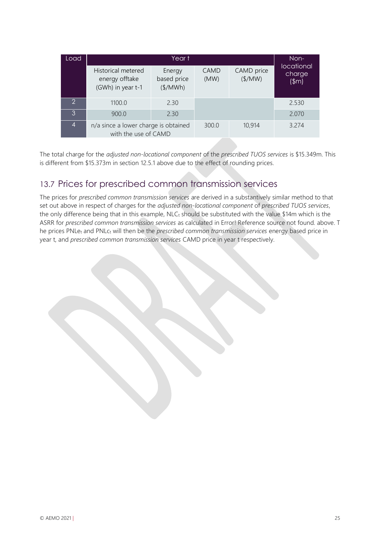| Load             |                                                              | Non-                              |                     |                               |                                 |  |
|------------------|--------------------------------------------------------------|-----------------------------------|---------------------|-------------------------------|---------------------------------|--|
|                  | Historical metered<br>energy offtake<br>(GWh) in year t-1    | Energy<br>based price<br>(\$/MWh) | <b>CAMD</b><br>(MW) | CAMD price<br>$(\frac{4}{M})$ | locational<br>charge<br>$(\$m)$ |  |
| $\mathcal{P}$    | 1100.0                                                       | 2.30                              |                     |                               | 2.530                           |  |
| 3                | 900.0                                                        | 2.30                              |                     |                               | 2.070                           |  |
| $\boldsymbol{A}$ | n/a since a lower charge is obtained<br>with the use of CAMD |                                   | 300.0               | 10,914                        | 3.274                           |  |

The total charge for the *adjusted non-locational component* of the *prescribed TUOS services* is \$15.349m. This is different from \$15.373m in section 12.5.1 above due to the effect of rounding prices.

# <span id="page-24-0"></span>13.7 Prices for prescribed common transmission services

The prices for *prescribed common transmission services* are derived in a substantively similar method to that set out above in respect of charges for the *adjusted non-locational component* of *prescribed TUOS services*, the only difference being that in this example,  $NLC_t$  should be substituted with the value \$14m which is the ASRR for *prescribed common transmission services* as calculated in Error! Reference source not found. above. T he prices PNLet and PNLct will then be the *prescribed common transmission services* energy based price in year t, and *prescribed common transmission services* CAMD price in year t respectively.

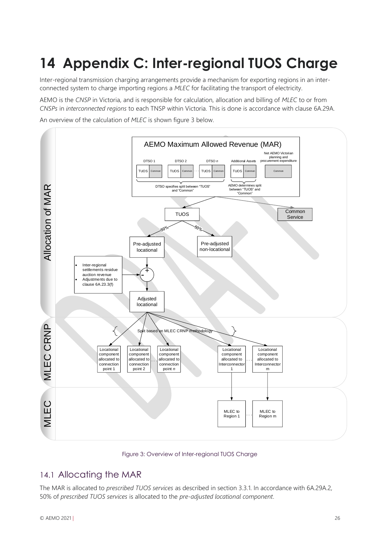# <span id="page-25-0"></span>**14 Appendix C: Inter-regional TUOS Charge**

Inter-regional transmission charging arrangements provide a mechanism for exporting regions in an interconnected system to charge importing regions a *MLEC* for facilitating the transport of electricity.

AEMO is the *CNSP* in Victoria, and is responsible for calculation, allocation and billing of *MLEC* to or from *CNSPs* in *interconnected regions* to each TNSP within Victoria. This is done is accordance with clause 6A.29A.

An overview of the calculation of *MLEC* is shown figure 3 below.



Figure 3: Overview of Inter-regional TUOS Charge

### <span id="page-25-1"></span>14.1 Allocating the MAR

The MAR is allocated to *prescribed TUOS services* as described in section 3.3.1. In accordance with 6A.29A.2, 50% of *prescribed TUOS services* is allocated to the *pre-adjusted locational component*.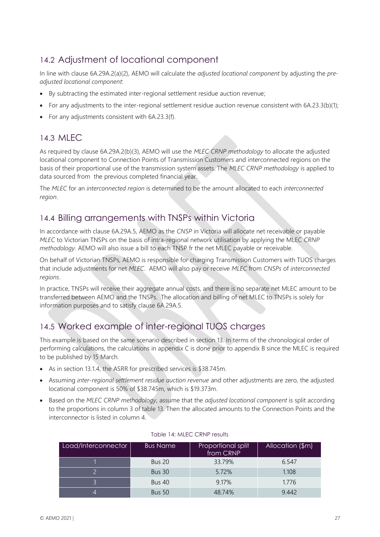# <span id="page-26-0"></span>14.2 Adjustment of locational component

In line with clause 6A.29A.2(a)(2), AEMO will calculate the *adjusted locational component* by adjusting the *preadjusted locational component*:

- By subtracting the estimated inter-regional settlement residue auction revenue;
- For any adjustments to the inter-regional settlement residue auction revenue consistent with 6A.23.3(b)(1);
- <span id="page-26-1"></span>• For any adjustments consistent with 6A.23.3(f).

### 14.3 MLEC

As required by clause 6A.29A.2(b)(3), AEMO will use the *MLEC CRNP methodology* to allocate the adjusted locational component to Connection Points of Transmission Customers and interconnected regions on the basis of their proportional use of the transmission system assets. The *MLEC CRNP methodology* is applied to data sourced from the previous completed financial year.

The *MLEC* for an *interconnected region* is determined to be the amount allocated to each *interconnected region*.

### <span id="page-26-2"></span>14.4 Billing arrangements with TNSPs within Victoria

In accordance with clause 6A.29A.5, AEMO as the *CNSP* in Victoria will allocate net receivable or payable *MLEC* to Victorian TNSPs on the basis of intra-regional network utilisation by applying the MLEC *CRNP methodology*. AEMO will also issue a bill to each TNSP fr the net MLEC payable or receivable.

On behalf of Victorian TNSPs, AEMO is responsible for charging Transmission Customers with TUOS charges that include adjustments for net *MLEC*. AEMO will also pay or receive *MLEC* from *CNSPs* of *interconnected regions*.

In practice, TNSPs will receive their aggregate annual costs, and there is no separate net MLEC amount to be transferred between AEMO and the TNSPs. The allocation and billing of net MLEC to TNSPs is solely for information purposes and to satisfy clause 6A.29A.5.

# <span id="page-26-3"></span>14.5 Worked example of inter-regional TUOS charges

This example is based on the same scenario described in section 13. In terms of the chronological order of performing calculations, the calculations in appendix C is done prior to appendix B since the MLEC is required to be published by 15 March.

- As in section 13.1.4, the ASRR for prescribed services is \$38.745m.
- Assuming *inter-regional settlement residue auction revenue* and other adjustments are zero, the adjusted locational component is 50% of \$38.745m, which is \$19.373m.
- Based on the *MLEC CRNP methodology*, assume that the *adjusted locational component* is split according to the proportions in column 3 of table 13. Then the allocated amounts to the Connection Points and the interconnector is listed in column 4.

| Load/Interconnector | <b>Bus Name</b> | Proportional split<br>from CRNP | Allocation (\$m) |
|---------------------|-----------------|---------------------------------|------------------|
|                     | <b>Bus 20</b>   | 33.79%                          | 6.547            |
|                     | <b>Bus 30</b>   | 5.72%                           | 1.108            |
|                     | <b>Bus 40</b>   | 9.17%                           | 1.776            |
|                     | <b>Bus 50</b>   | 48.74%                          | 9.442            |

#### Table 14: MLEC CRNP results